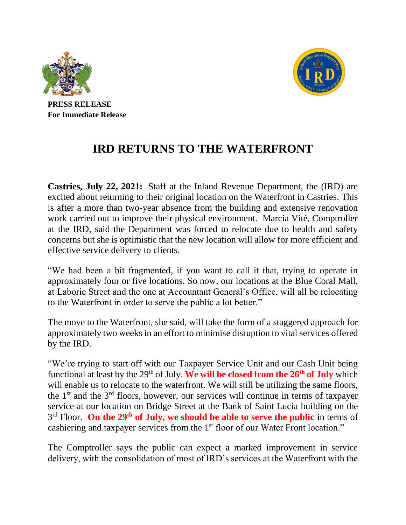



**PRESS RELEASE For Immediate Release**

## **IRD RETURNS TO THE WATERFRONT**

**Castries, July 22, 2021:** Staff at the Inland Revenue Department, the (IRD) are excited about returning to their original location on the Waterfront in Castries. This is after a more than two-year absence from the building and extensive renovation work carried out to improve their physical environment. Marcia Vité, Comptroller at the IRD, said the Department was forced to relocate due to health and safety concerns but she is optimistic that the new location will allow for more efficient and effective service delivery to clients.

"We had been a bit fragmented, if you want to call it that, trying to operate in approximately four or five locations. So now, our locations at the Blue Coral Mall, at Laborie Street and the one at Accountant General's Office, will all be relocating to the Waterfront in order to serve the public a lot better."

The move to the Waterfront, she said, will take the form of a staggered approach for approximately two weeks in an effort to minimise disruption to vital services offered by the IRD.

"We're trying to start off with our Taxpayer Service Unit and our Cash Unit being functional at least by the 29<sup>th</sup> of July. We will be closed from the 26<sup>th</sup> of July which will enable us to relocate to the waterfront. We will still be utilizing the same floors, the  $1<sup>st</sup>$  and the  $3<sup>rd</sup>$  floors, however, our services will continue in terms of taxpayer service at our location on Bridge Street at the Bank of Saint Lucia building on the 3<sup>rd</sup> Floor. On the 29<sup>th</sup> of July, we should be able to serve the public in terms of cashiering and taxpayer services from the 1<sup>st</sup> floor of our Water Front location."

The Comptroller says the public can expect a marked improvement in service delivery, with the consolidation of most of IRD's services at the Waterfront with the